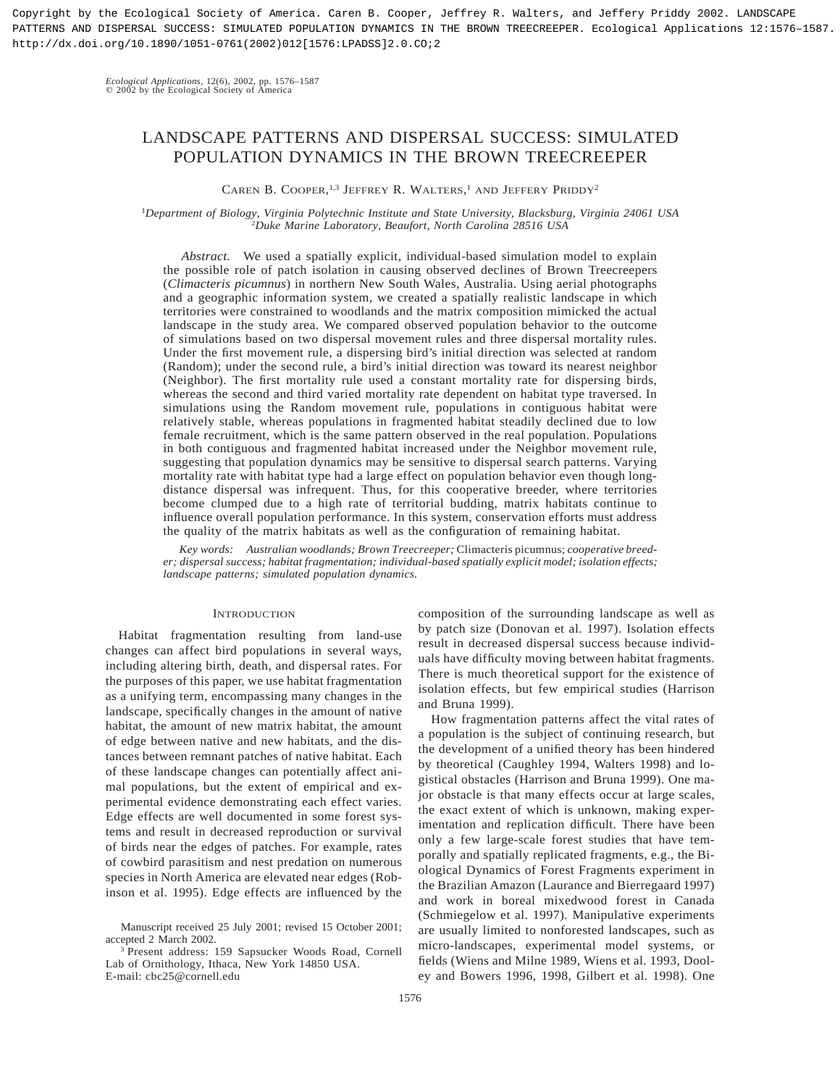Copyright by the Ecological Society of America. Caren B. Cooper, Jeffrey R. Walters, and Jeffery Priddy 2002. LANDSCAPE PATTERNS AND DISPERSAL SUCCESS: SIMULATED POPULATION DYNAMICS IN THE BROWN TREECREEPER. Ecological Applications 12:1576–1587. http://dx.doi.org/10.1890/1051-0761(2002)012[1576:LPADSS]2.0.CO;2

*Ecological Applications,* 12(6), 2002, pp. 1576–1587 <sup>q</sup> 2002 by the Ecological Society of America

# LANDSCAPE PATTERNS AND DISPERSAL SUCCESS: SIMULATED POPULATION DYNAMICS IN THE BROWN TREECREEPER

CAREN B. COOPER,<sup>1,3</sup> JEFFREY R. WALTERS,<sup>1</sup> AND JEFFERY PRIDDY<sup>2</sup>

<sup>1</sup>*Department of Biology, Virginia Polytechnic Institute and State University, Blacksburg, Virginia 24061 USA* <sup>2</sup>*Duke Marine Laboratory, Beaufort, North Carolina 28516 USA*

*Abstract.* We used a spatially explicit, individual-based simulation model to explain the possible role of patch isolation in causing observed declines of Brown Treecreepers (*Climacteris picumnus*) in northern New South Wales, Australia. Using aerial photographs and a geographic information system, we created a spatially realistic landscape in which territories were constrained to woodlands and the matrix composition mimicked the actual landscape in the study area. We compared observed population behavior to the outcome of simulations based on two dispersal movement rules and three dispersal mortality rules. Under the first movement rule, a dispersing bird's initial direction was selected at random (Random); under the second rule, a bird's initial direction was toward its nearest neighbor (Neighbor). The first mortality rule used a constant mortality rate for dispersing birds, whereas the second and third varied mortality rate dependent on habitat type traversed. In simulations using the Random movement rule, populations in contiguous habitat were relatively stable, whereas populations in fragmented habitat steadily declined due to low female recruitment, which is the same pattern observed in the real population. Populations in both contiguous and fragmented habitat increased under the Neighbor movement rule, suggesting that population dynamics may be sensitive to dispersal search patterns. Varying mortality rate with habitat type had a large effect on population behavior even though longdistance dispersal was infrequent. Thus, for this cooperative breeder, where territories become clumped due to a high rate of territorial budding, matrix habitats continue to influence overall population performance. In this system, conservation efforts must address the quality of the matrix habitats as well as the configuration of remaining habitat.

*Key words: Australian woodlands; Brown Treecreeper;* Climacteris picumnus; *cooperative breeder; dispersal success; habitat fragmentation; individual-based spatially explicit model; isolation effects; landscape patterns; simulated population dynamics.*

# **INTRODUCTION**

Habitat fragmentation resulting from land-use changes can affect bird populations in several ways, including altering birth, death, and dispersal rates. For the purposes of this paper, we use habitat fragmentation as a unifying term, encompassing many changes in the landscape, specifically changes in the amount of native habitat, the amount of new matrix habitat, the amount of edge between native and new habitats, and the distances between remnant patches of native habitat. Each of these landscape changes can potentially affect animal populations, but the extent of empirical and experimental evidence demonstrating each effect varies. Edge effects are well documented in some forest systems and result in decreased reproduction or survival of birds near the edges of patches. For example, rates of cowbird parasitism and nest predation on numerous species in North America are elevated near edges (Robinson et al. 1995). Edge effects are influenced by the

composition of the surrounding landscape as well as by patch size (Donovan et al. 1997). Isolation effects result in decreased dispersal success because individuals have difficulty moving between habitat fragments. There is much theoretical support for the existence of isolation effects, but few empirical studies (Harrison and Bruna 1999).

How fragmentation patterns affect the vital rates of a population is the subject of continuing research, but the development of a unified theory has been hindered by theoretical (Caughley 1994, Walters 1998) and logistical obstacles (Harrison and Bruna 1999). One major obstacle is that many effects occur at large scales, the exact extent of which is unknown, making experimentation and replication difficult. There have been only a few large-scale forest studies that have temporally and spatially replicated fragments, e.g., the Biological Dynamics of Forest Fragments experiment in the Brazilian Amazon (Laurance and Bierregaard 1997) and work in boreal mixedwood forest in Canada (Schmiegelow et al. 1997). Manipulative experiments are usually limited to nonforested landscapes, such as micro-landscapes, experimental model systems, or fields (Wiens and Milne 1989, Wiens et al. 1993, Dooley and Bowers 1996, 1998, Gilbert et al. 1998). One

Manuscript received 25 July 2001; revised 15 October 2001; accepted 2 March 2002.

<sup>3</sup> Present address: 159 Sapsucker Woods Road, Cornell Lab of Ornithology, Ithaca, New York 14850 USA. E-mail: cbc25@cornell.edu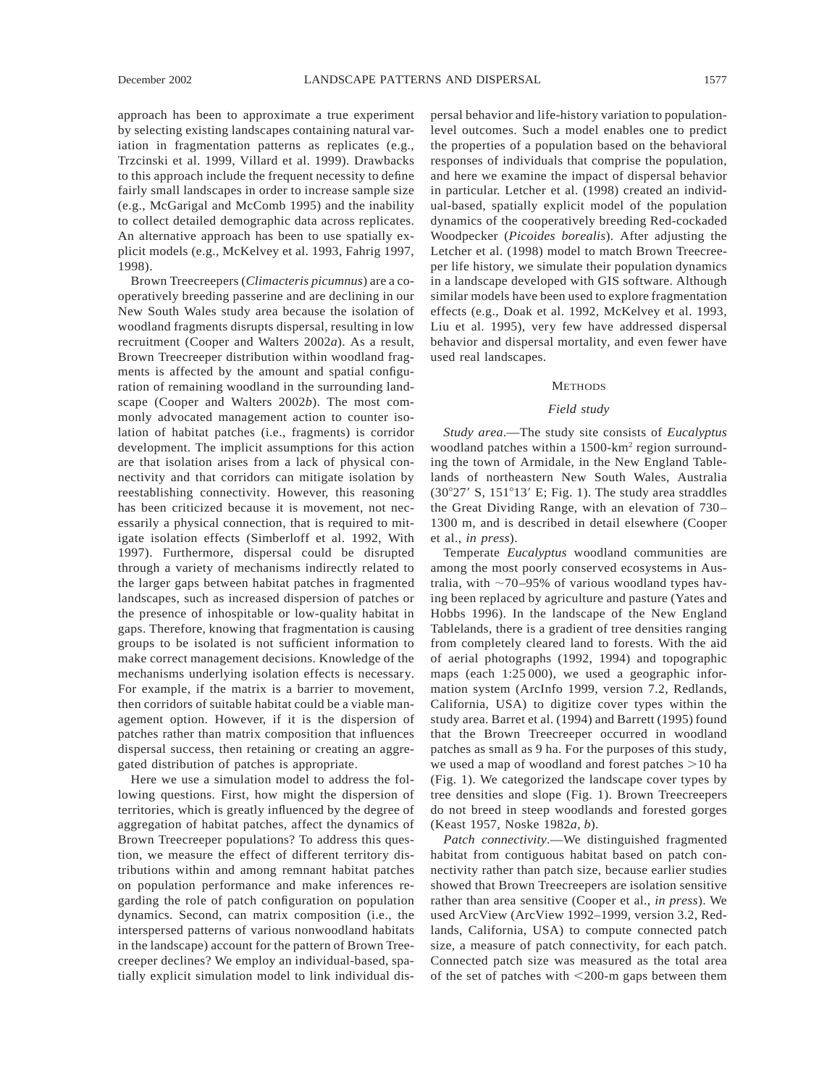approach has been to approximate a true experiment by selecting existing landscapes containing natural variation in fragmentation patterns as replicates (e.g., Trzcinski et al. 1999, Villard et al. 1999). Drawbacks to this approach include the frequent necessity to define fairly small landscapes in order to increase sample size (e.g., McGarigal and McComb 1995) and the inability to collect detailed demographic data across replicates. An alternative approach has been to use spatially explicit models (e.g., McKelvey et al. 1993, Fahrig 1997, 1998).

Brown Treecreepers (*Climacteris picumnus*) are a cooperatively breeding passerine and are declining in our New South Wales study area because the isolation of woodland fragments disrupts dispersal, resulting in low recruitment (Cooper and Walters 2002*a*). As a result, Brown Treecreeper distribution within woodland fragments is affected by the amount and spatial configuration of remaining woodland in the surrounding landscape (Cooper and Walters 2002*b*). The most commonly advocated management action to counter isolation of habitat patches (i.e., fragments) is corridor development. The implicit assumptions for this action are that isolation arises from a lack of physical connectivity and that corridors can mitigate isolation by reestablishing connectivity. However, this reasoning has been criticized because it is movement, not necessarily a physical connection, that is required to mitigate isolation effects (Simberloff et al. 1992, With 1997). Furthermore, dispersal could be disrupted through a variety of mechanisms indirectly related to the larger gaps between habitat patches in fragmented landscapes, such as increased dispersion of patches or the presence of inhospitable or low-quality habitat in gaps. Therefore, knowing that fragmentation is causing groups to be isolated is not sufficient information to make correct management decisions. Knowledge of the mechanisms underlying isolation effects is necessary. For example, if the matrix is a barrier to movement, then corridors of suitable habitat could be a viable management option. However, if it is the dispersion of patches rather than matrix composition that influences dispersal success, then retaining or creating an aggregated distribution of patches is appropriate.

Here we use a simulation model to address the following questions. First, how might the dispersion of territories, which is greatly influenced by the degree of aggregation of habitat patches, affect the dynamics of Brown Treecreeper populations? To address this question, we measure the effect of different territory distributions within and among remnant habitat patches on population performance and make inferences regarding the role of patch configuration on population dynamics. Second, can matrix composition (i.e., the interspersed patterns of various nonwoodland habitats in the landscape) account for the pattern of Brown Treecreeper declines? We employ an individual-based, spatially explicit simulation model to link individual dis-

persal behavior and life-history variation to populationlevel outcomes. Such a model enables one to predict the properties of a population based on the behavioral responses of individuals that comprise the population, and here we examine the impact of dispersal behavior in particular. Letcher et al. (1998) created an individual-based, spatially explicit model of the population dynamics of the cooperatively breeding Red-cockaded Woodpecker (*Picoides borealis*). After adjusting the Letcher et al. (1998) model to match Brown Treecreeper life history, we simulate their population dynamics in a landscape developed with GIS software. Although similar models have been used to explore fragmentation effects (e.g., Doak et al. 1992, McKelvey et al. 1993, Liu et al. 1995), very few have addressed dispersal behavior and dispersal mortality, and even fewer have used real landscapes.

#### **METHODS**

# *Field study*

*Study area*.—The study site consists of *Eucalyptus* woodland patches within a 1500-km2 region surrounding the town of Armidale, in the New England Tablelands of northeastern New South Wales, Australia  $(30°27' S, 151°13' E; Fig. 1)$ . The study area straddles the Great Dividing Range, with an elevation of 730– 1300 m, and is described in detail elsewhere (Cooper et al., *in press*).

Temperate *Eucalyptus* woodland communities are among the most poorly conserved ecosystems in Australia, with  $\sim$ 70–95% of various woodland types having been replaced by agriculture and pasture (Yates and Hobbs 1996). In the landscape of the New England Tablelands, there is a gradient of tree densities ranging from completely cleared land to forests. With the aid of aerial photographs (1992, 1994) and topographic maps (each 1:25 000), we used a geographic information system (ArcInfo 1999, version 7.2, Redlands, California, USA) to digitize cover types within the study area. Barret et al. (1994) and Barrett (1995) found that the Brown Treecreeper occurred in woodland patches as small as 9 ha. For the purposes of this study, we used a map of woodland and forest patches  $>10$  ha (Fig. 1). We categorized the landscape cover types by tree densities and slope (Fig. 1). Brown Treecreepers do not breed in steep woodlands and forested gorges (Keast 1957, Noske 1982*a*, *b*).

*Patch connectivity*.—We distinguished fragmented habitat from contiguous habitat based on patch connectivity rather than patch size, because earlier studies showed that Brown Treecreepers are isolation sensitive rather than area sensitive (Cooper et al., *in press*). We used ArcView (ArcView 1992–1999, version 3.2, Redlands, California, USA) to compute connected patch size, a measure of patch connectivity, for each patch. Connected patch size was measured as the total area of the set of patches with  $\leq$ 200-m gaps between them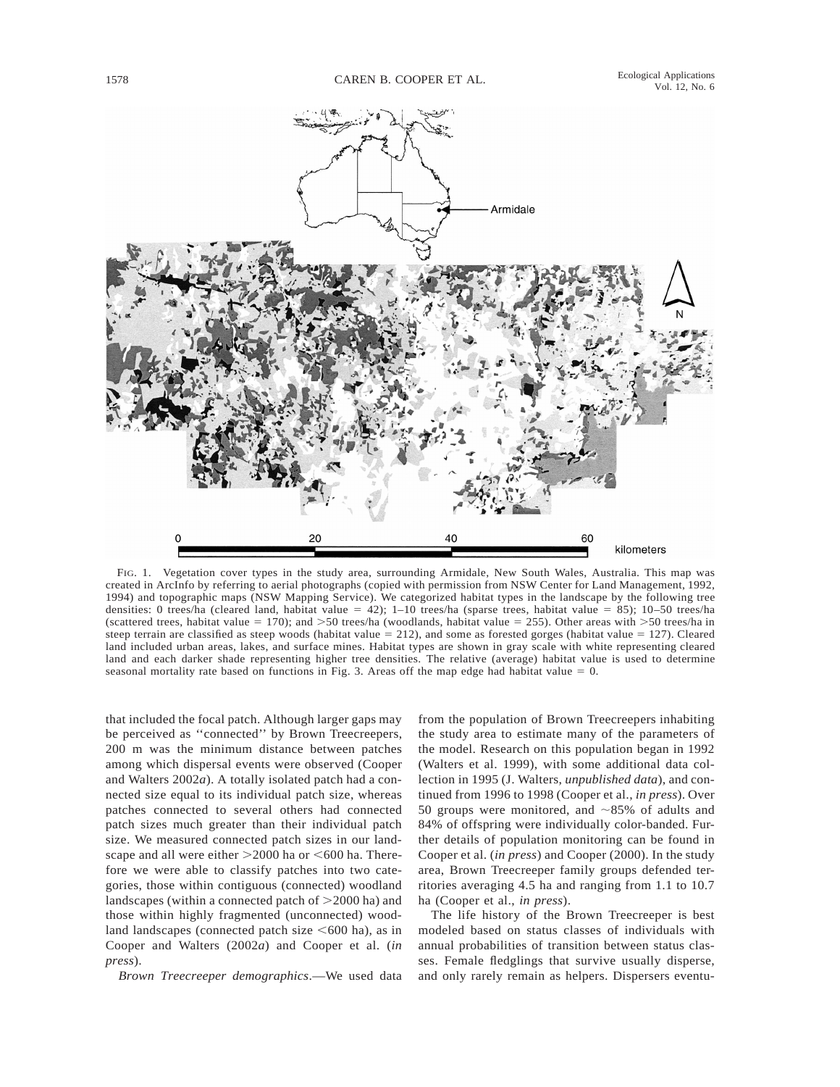

FIG. 1. Vegetation cover types in the study area, surrounding Armidale, New South Wales, Australia. This map was created in ArcInfo by referring to aerial photographs (copied with permission from NSW Center for Land Management, 1992, 1994) and topographic maps (NSW Mapping Service). We categorized habitat types in the landscape by the following tree densities: 0 trees/ha (cleared land, habitat value = 42); 1-10 trees/ha (sparse trees, habitat value = 85); 10-50 trees/ha (scattered trees, habitat value = 170); and  $>50$  trees/ha (woodlands, habitat value = 255). Other areas with  $>50$  trees/ha in steep terrain are classified as steep woods (habitat value  $= 212$ ), and some as forested gorges (habitat value  $= 127$ ). Cleared land included urban areas, lakes, and surface mines. Habitat types are shown in gray scale with white representing cleared land and each darker shade representing higher tree densities. The relative (average) habitat value is used to determine seasonal mortality rate based on functions in Fig. 3. Areas off the map edge had habitat value  $= 0$ .

that included the focal patch. Although larger gaps may be perceived as ''connected'' by Brown Treecreepers, 200 m was the minimum distance between patches among which dispersal events were observed (Cooper and Walters 2002*a*). A totally isolated patch had a connected size equal to its individual patch size, whereas patches connected to several others had connected patch sizes much greater than their individual patch size. We measured connected patch sizes in our landscape and all were either  $>2000$  ha or  $<600$  ha. Therefore we were able to classify patches into two categories, those within contiguous (connected) woodland landscapes (within a connected patch of  $>2000$  ha) and those within highly fragmented (unconnected) woodland landscapes (connected patch size  $<600$  ha), as in Cooper and Walters (2002*a*) and Cooper et al. (*in press*).

*Brown Treecreeper demographics*.—We used data

from the population of Brown Treecreepers inhabiting the study area to estimate many of the parameters of the model. Research on this population began in 1992 (Walters et al. 1999), with some additional data collection in 1995 (J. Walters, *unpublished data*), and continued from 1996 to 1998 (Cooper et al., *in press*). Over 50 groups were monitored, and  $\sim$ 85% of adults and 84% of offspring were individually color-banded. Further details of population monitoring can be found in Cooper et al. (*in press*) and Cooper (2000). In the study area, Brown Treecreeper family groups defended territories averaging 4.5 ha and ranging from 1.1 to 10.7 ha (Cooper et al., *in press*).

The life history of the Brown Treecreeper is best modeled based on status classes of individuals with annual probabilities of transition between status classes. Female fledglings that survive usually disperse, and only rarely remain as helpers. Dispersers eventu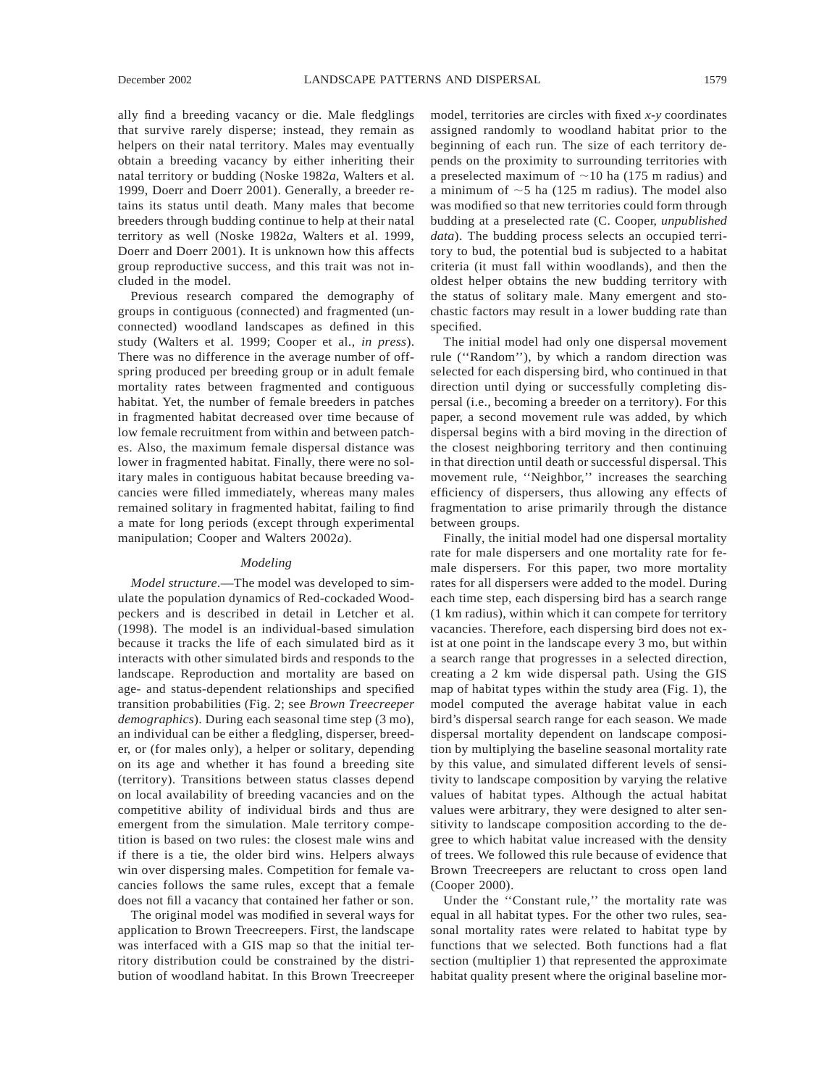ally find a breeding vacancy or die. Male fledglings that survive rarely disperse; instead, they remain as helpers on their natal territory. Males may eventually obtain a breeding vacancy by either inheriting their natal territory or budding (Noske 1982*a*, Walters et al. 1999, Doerr and Doerr 2001). Generally, a breeder retains its status until death. Many males that become breeders through budding continue to help at their natal territory as well (Noske 1982*a*, Walters et al. 1999, Doerr and Doerr 2001). It is unknown how this affects group reproductive success, and this trait was not included in the model.

Previous research compared the demography of groups in contiguous (connected) and fragmented (unconnected) woodland landscapes as defined in this study (Walters et al. 1999; Cooper et al., *in press*). There was no difference in the average number of offspring produced per breeding group or in adult female mortality rates between fragmented and contiguous habitat. Yet, the number of female breeders in patches in fragmented habitat decreased over time because of low female recruitment from within and between patches. Also, the maximum female dispersal distance was lower in fragmented habitat. Finally, there were no solitary males in contiguous habitat because breeding vacancies were filled immediately, whereas many males remained solitary in fragmented habitat, failing to find a mate for long periods (except through experimental manipulation; Cooper and Walters 2002*a*).

# *Modeling*

*Model structure*.—The model was developed to simulate the population dynamics of Red-cockaded Woodpeckers and is described in detail in Letcher et al. (1998). The model is an individual-based simulation because it tracks the life of each simulated bird as it interacts with other simulated birds and responds to the landscape. Reproduction and mortality are based on age- and status-dependent relationships and specified transition probabilities (Fig. 2; see *Brown Treecreeper demographics*). During each seasonal time step (3 mo), an individual can be either a fledgling, disperser, breeder, or (for males only), a helper or solitary, depending on its age and whether it has found a breeding site (territory). Transitions between status classes depend on local availability of breeding vacancies and on the competitive ability of individual birds and thus are emergent from the simulation. Male territory competition is based on two rules: the closest male wins and if there is a tie, the older bird wins. Helpers always win over dispersing males. Competition for female vacancies follows the same rules, except that a female does not fill a vacancy that contained her father or son.

The original model was modified in several ways for application to Brown Treecreepers. First, the landscape was interfaced with a GIS map so that the initial territory distribution could be constrained by the distribution of woodland habitat. In this Brown Treecreeper model, territories are circles with fixed *x*-*y* coordinates assigned randomly to woodland habitat prior to the beginning of each run. The size of each territory depends on the proximity to surrounding territories with a preselected maximum of  $\sim$ 10 ha (175 m radius) and a minimum of  $\sim$ 5 ha (125 m radius). The model also was modified so that new territories could form through budding at a preselected rate (C. Cooper, *unpublished data*). The budding process selects an occupied territory to bud, the potential bud is subjected to a habitat criteria (it must fall within woodlands), and then the oldest helper obtains the new budding territory with the status of solitary male. Many emergent and stochastic factors may result in a lower budding rate than specified.

The initial model had only one dispersal movement rule (''Random''), by which a random direction was selected for each dispersing bird, who continued in that direction until dying or successfully completing dispersal (i.e., becoming a breeder on a territory). For this paper, a second movement rule was added, by which dispersal begins with a bird moving in the direction of the closest neighboring territory and then continuing in that direction until death or successful dispersal. This movement rule, ''Neighbor,'' increases the searching efficiency of dispersers, thus allowing any effects of fragmentation to arise primarily through the distance between groups.

Finally, the initial model had one dispersal mortality rate for male dispersers and one mortality rate for female dispersers. For this paper, two more mortality rates for all dispersers were added to the model. During each time step, each dispersing bird has a search range (1 km radius), within which it can compete for territory vacancies. Therefore, each dispersing bird does not exist at one point in the landscape every 3 mo, but within a search range that progresses in a selected direction, creating a 2 km wide dispersal path. Using the GIS map of habitat types within the study area (Fig. 1), the model computed the average habitat value in each bird's dispersal search range for each season. We made dispersal mortality dependent on landscape composition by multiplying the baseline seasonal mortality rate by this value, and simulated different levels of sensitivity to landscape composition by varying the relative values of habitat types. Although the actual habitat values were arbitrary, they were designed to alter sensitivity to landscape composition according to the degree to which habitat value increased with the density of trees. We followed this rule because of evidence that Brown Treecreepers are reluctant to cross open land (Cooper 2000).

Under the "Constant rule," the mortality rate was equal in all habitat types. For the other two rules, seasonal mortality rates were related to habitat type by functions that we selected. Both functions had a flat section (multiplier 1) that represented the approximate habitat quality present where the original baseline mor-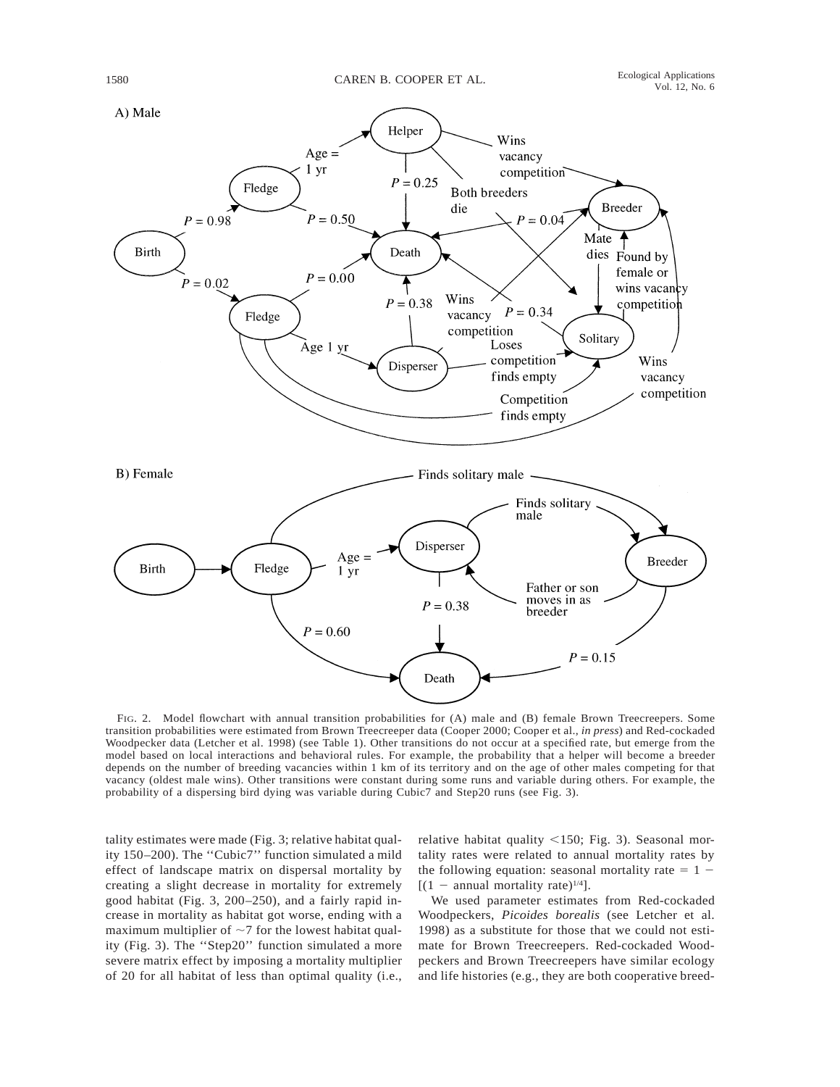

FIG. 2. Model flowchart with annual transition probabilities for (A) male and (B) female Brown Treecreepers. Some transition probabilities were estimated from Brown Treecreeper data (Cooper 2000; Cooper et al., *in press*) and Red-cockaded Woodpecker data (Letcher et al. 1998) (see Table 1). Other transitions do not occur at a specified rate, but emerge from the model based on local interactions and behavioral rules. For example, the probability that a helper will become a breeder depends on the number of breeding vacancies within 1 km of its territory and on the age of other males competing for that vacancy (oldest male wins). Other transitions were constant during some runs and variable during others. For example, the probability of a dispersing bird dying was variable during Cubic7 and Step20 runs (see Fig. 3).

tality estimates were made (Fig. 3; relative habitat quality 150–200). The ''Cubic7'' function simulated a mild effect of landscape matrix on dispersal mortality by creating a slight decrease in mortality for extremely good habitat (Fig. 3, 200–250), and a fairly rapid increase in mortality as habitat got worse, ending with a maximum multiplier of  $\sim$ 7 for the lowest habitat quality (Fig. 3). The ''Step20'' function simulated a more severe matrix effect by imposing a mortality multiplier of 20 for all habitat of less than optimal quality (i.e.,

relative habitat quality  $\leq 150$ ; Fig. 3). Seasonal mortality rates were related to annual mortality rates by the following equation: seasonal mortality rate  $= 1 [(1 - \text{annual mortality rate})^{1/4}]$ .

We used parameter estimates from Red-cockaded Woodpeckers, *Picoides borealis* (see Letcher et al. 1998) as a substitute for those that we could not estimate for Brown Treecreepers. Red-cockaded Woodpeckers and Brown Treecreepers have similar ecology and life histories (e.g., they are both cooperative breed-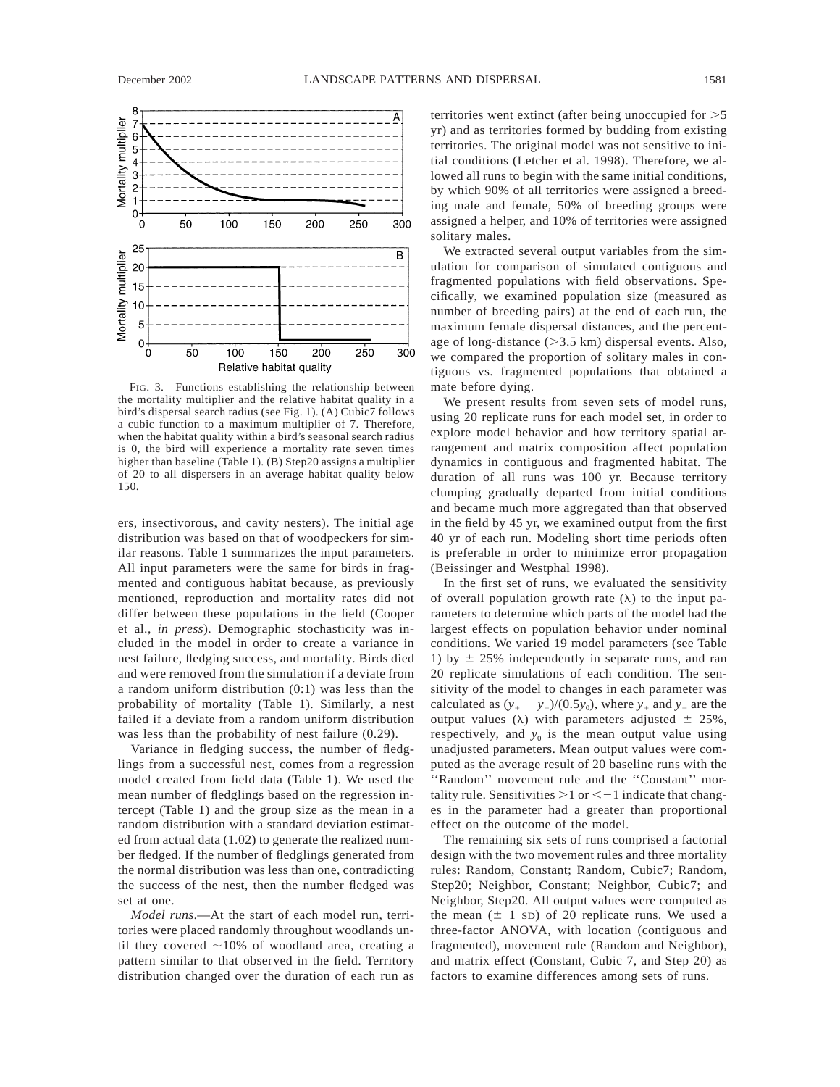

FIG. 3. Functions establishing the relationship between the mortality multiplier and the relative habitat quality in a bird's dispersal search radius (see Fig. 1). (A) Cubic7 follows a cubic function to a maximum multiplier of 7. Therefore, when the habitat quality within a bird's seasonal search radius is 0, the bird will experience a mortality rate seven times higher than baseline (Table 1). (B) Step20 assigns a multiplier of 20 to all dispersers in an average habitat quality below 150.

ers, insectivorous, and cavity nesters). The initial age distribution was based on that of woodpeckers for similar reasons. Table 1 summarizes the input parameters. All input parameters were the same for birds in fragmented and contiguous habitat because, as previously mentioned, reproduction and mortality rates did not differ between these populations in the field (Cooper et al., *in press*). Demographic stochasticity was included in the model in order to create a variance in nest failure, fledging success, and mortality. Birds died and were removed from the simulation if a deviate from a random uniform distribution (0:1) was less than the probability of mortality (Table 1). Similarly, a nest failed if a deviate from a random uniform distribution was less than the probability of nest failure (0.29).

Variance in fledging success, the number of fledglings from a successful nest, comes from a regression model created from field data (Table 1). We used the mean number of fledglings based on the regression intercept (Table 1) and the group size as the mean in a random distribution with a standard deviation estimated from actual data (1.02) to generate the realized number fledged. If the number of fledglings generated from the normal distribution was less than one, contradicting the success of the nest, then the number fledged was set at one.

*Model runs*.—At the start of each model run, territories were placed randomly throughout woodlands until they covered  $\sim$ 10% of woodland area, creating a pattern similar to that observed in the field. Territory distribution changed over the duration of each run as territories went extinct (after being unoccupied for  $>5$ yr) and as territories formed by budding from existing territories. The original model was not sensitive to initial conditions (Letcher et al. 1998). Therefore, we allowed all runs to begin with the same initial conditions, by which 90% of all territories were assigned a breeding male and female, 50% of breeding groups were assigned a helper, and 10% of territories were assigned solitary males.

We extracted several output variables from the simulation for comparison of simulated contiguous and fragmented populations with field observations. Specifically, we examined population size (measured as number of breeding pairs) at the end of each run, the maximum female dispersal distances, and the percentage of long-distance  $(>3.5 \text{ km})$  dispersal events. Also, we compared the proportion of solitary males in contiguous vs. fragmented populations that obtained a mate before dying.

We present results from seven sets of model runs, using 20 replicate runs for each model set, in order to explore model behavior and how territory spatial arrangement and matrix composition affect population dynamics in contiguous and fragmented habitat. The duration of all runs was 100 yr. Because territory clumping gradually departed from initial conditions and became much more aggregated than that observed in the field by 45 yr, we examined output from the first 40 yr of each run. Modeling short time periods often is preferable in order to minimize error propagation (Beissinger and Westphal 1998).

In the first set of runs, we evaluated the sensitivity of overall population growth rate  $(\lambda)$  to the input parameters to determine which parts of the model had the largest effects on population behavior under nominal conditions. We varied 19 model parameters (see Table 1) by  $\pm$  25% independently in separate runs, and ran 20 replicate simulations of each condition. The sensitivity of the model to changes in each parameter was calculated as  $(y_+ - y_-)/(0.5y_0)$ , where  $y_+$  and  $y_-$  are the output values ( $\lambda$ ) with parameters adjusted  $\pm$  25%, respectively, and  $y_0$  is the mean output value using unadjusted parameters. Mean output values were computed as the average result of 20 baseline runs with the ''Random'' movement rule and the ''Constant'' mortality rule. Sensitivities  $>1$  or  $<-1$  indicate that changes in the parameter had a greater than proportional effect on the outcome of the model.

The remaining six sets of runs comprised a factorial design with the two movement rules and three mortality rules: Random, Constant; Random, Cubic7; Random, Step20; Neighbor, Constant; Neighbor, Cubic7; and Neighbor, Step20. All output values were computed as the mean  $(\pm 1 \text{ SD})$  of 20 replicate runs. We used a three-factor ANOVA, with location (contiguous and fragmented), movement rule (Random and Neighbor), and matrix effect (Constant, Cubic 7, and Step 20) as factors to examine differences among sets of runs.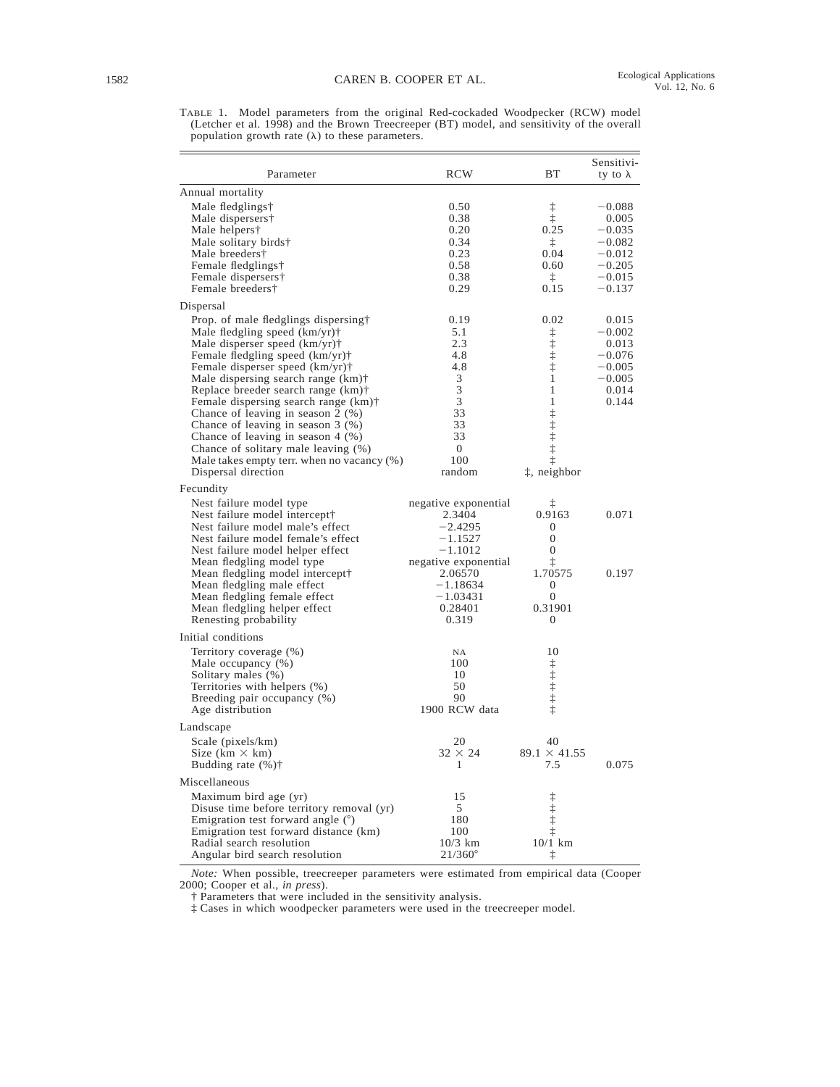TABLE 1. Model parameters from the original Red-cockaded Woodpecker (RCW) model (Letcher et al. 1998) and the Brown Treecreeper (BT) model, and sensitivity of the overall population growth rate  $(\lambda)$  to these parameters.

| Parameter                                                                                    | <b>RCW</b>            | <b>BT</b>                  | Sensitivi-<br>ty to λ |
|----------------------------------------------------------------------------------------------|-----------------------|----------------------------|-----------------------|
| Annual mortality                                                                             |                       |                            |                       |
| Male fledglings†                                                                             | 0.50                  | ţ                          | $-0.088$              |
| Male dispersers†                                                                             | 0.38                  | ŧ                          | 0.005                 |
| Male helpers†                                                                                | 0.20                  | 0.25                       | $-0.035$              |
| Male solitary birds†                                                                         | 0.34                  | ţ                          | $-0.082$              |
| Male breeders†                                                                               | 0.23                  | 0.04                       | $-0.012$              |
| Female fledglings†                                                                           | 0.58                  | 0.60                       | $-0.205$              |
| Female dispersers†                                                                           | 0.38                  | $\ddagger$                 | $-0.015$              |
| Female breeders†                                                                             | 0.29                  | 0.15                       | $-0.137$              |
| Dispersal                                                                                    |                       |                            |                       |
| Prop. of male fledglings dispersing†                                                         | 0.19                  | 0.02                       | 0.015                 |
| Male fledgling speed $(km/yr)$ †                                                             | 5.1                   |                            | $-0.002$              |
| Male disperser speed $(km/yr)$                                                               | 2.3                   | +++++++++                  | 0.013                 |
| Female fledgling speed $(km/yr)$ †                                                           | 4.8                   |                            | $-0.076$              |
| Female disperser speed (km/yr)†                                                              | 4.8                   |                            | $-0.005$              |
| Male dispersing search range $(km)$ †                                                        | 3                     | $\mathbf{1}$               | $-0.005$              |
| Replace breeder search range $(km)$ <sup>+</sup>                                             | 3<br>3                | 1<br>1                     | 0.014<br>0.144        |
| Female dispersing search range $(km)$ <sup>+</sup><br>Chance of leaving in season $2 \ (\%)$ | 33                    |                            |                       |
| Chance of leaving in season $3 \ (\%)$                                                       | 33                    |                            |                       |
| Chance of leaving in season $4 \ (\%)$                                                       | 33                    |                            |                       |
| Chance of solitary male leaving (%)                                                          | $\mathbf{0}$          | +++++++++++                |                       |
| Male takes empty terr. when no vacancy (%)                                                   | 100                   |                            |                       |
| Dispersal direction                                                                          | random                | ‡, neighbor                |                       |
| Fecundity                                                                                    |                       |                            |                       |
| Nest failure model type                                                                      | negative exponential  | ţ                          |                       |
| Nest failure model intercept†                                                                | 2.3404                | 0.9163                     | 0.071                 |
| Nest failure model male's effect                                                             | $-2.4295$             | $\overline{0}$             |                       |
| Nest failure model female's effect                                                           | $-1.1527$             | $\boldsymbol{0}$           |                       |
| Nest failure model helper effect                                                             | $-1.1012$             | $\boldsymbol{0}$           |                       |
| Mean fledgling model type                                                                    | negative exponential  | İ                          |                       |
| Mean fledgling model intercept†                                                              | 2.06570               | 1.70575                    | 0.197                 |
| Mean fledgling male effect                                                                   | $-1.18634$            | $\theta$<br>$\overline{0}$ |                       |
| Mean fledgling female effect<br>Mean fledgling helper effect                                 | $-1.03431$<br>0.28401 | 0.31901                    |                       |
| Renesting probability                                                                        | 0.319                 | $\Omega$                   |                       |
|                                                                                              |                       |                            |                       |
| Initial conditions                                                                           |                       |                            |                       |
| Territory coverage (%)                                                                       | NA                    | 10                         |                       |
| Male occupancy (%)<br>Solitary males (%)                                                     | 100<br>10             |                            |                       |
| Territories with helpers (%)                                                                 | 50                    |                            |                       |
| Breeding pair occupancy (%)                                                                  | 90                    |                            |                       |
| Age distribution                                                                             | 1900 RCW data         | <b>+++++++++++</b>         |                       |
| Landscape                                                                                    |                       |                            |                       |
| Scale (pixels/km)                                                                            | 20                    | 40                         |                       |
| Size (km $\times$ km)                                                                        | $32 \times 24$        | $89.1 \times 41.55$        |                       |
| Budding rate $(\%)\dagger$                                                                   | 1                     | 7.5                        | 0.075                 |
| Miscellaneous                                                                                |                       |                            |                       |
| Maximum bird age (yr)                                                                        | 15                    |                            |                       |
| Disuse time before territory removal (yr)                                                    | 5                     | ++++++                     |                       |
| Emigration test forward angle $(°)$                                                          | 180                   |                            |                       |
| Emigration test forward distance (km)                                                        | 100                   | ţ                          |                       |
| Radial search resolution                                                                     | $10/3$ km             | $10/1$ km                  |                       |
| Angular bird search resolution                                                               | $21/360^{\circ}$      | ţ                          |                       |

*Note:* When possible, treecreeper parameters were estimated from empirical data (Cooper 2000; Cooper et al., *in press*).

† Parameters that were included in the sensitivity analysis.

‡ Cases in which woodpecker parameters were used in the treecreeper model.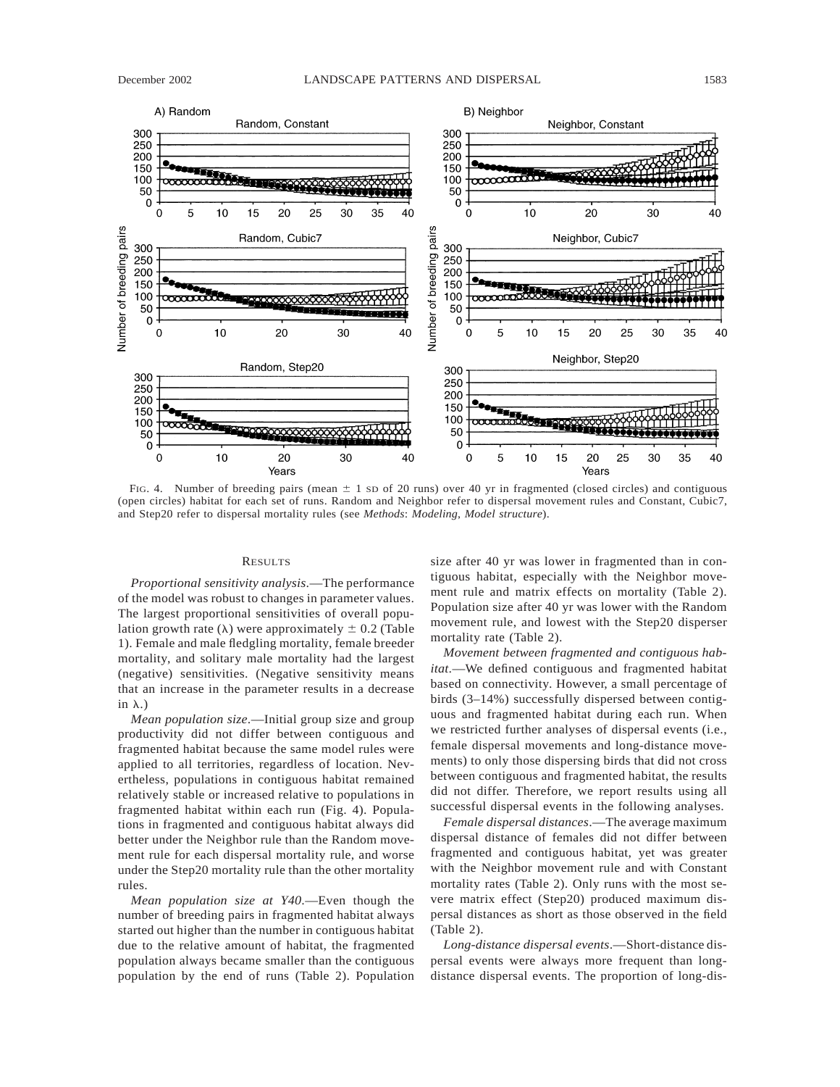

FIG. 4. Number of breeding pairs (mean  $\pm$  1 sp of 20 runs) over 40 yr in fragmented (closed circles) and contiguous (open circles) habitat for each set of runs. Random and Neighbor refer to dispersal movement rules and Constant, Cubic7, and Step20 refer to dispersal mortality rules (see *Methods*: *Modeling*, *Model structure*).

# RESULTS

*Proportional sensitivity analysis*.—The performance of the model was robust to changes in parameter values. The largest proportional sensitivities of overall population growth rate ( $\lambda$ ) were approximately  $\pm$  0.2 (Table 1). Female and male fledgling mortality, female breeder mortality, and solitary male mortality had the largest (negative) sensitivities. (Negative sensitivity means that an increase in the parameter results in a decrease in  $\lambda$ .)

*Mean population size*.—Initial group size and group productivity did not differ between contiguous and fragmented habitat because the same model rules were applied to all territories, regardless of location. Nevertheless, populations in contiguous habitat remained relatively stable or increased relative to populations in fragmented habitat within each run (Fig. 4). Populations in fragmented and contiguous habitat always did better under the Neighbor rule than the Random movement rule for each dispersal mortality rule, and worse under the Step20 mortality rule than the other mortality rules.

*Mean population size at Y40*.—Even though the number of breeding pairs in fragmented habitat always started out higher than the number in contiguous habitat due to the relative amount of habitat, the fragmented population always became smaller than the contiguous population by the end of runs (Table 2). Population

size after 40 yr was lower in fragmented than in contiguous habitat, especially with the Neighbor movement rule and matrix effects on mortality (Table 2). Population size after 40 yr was lower with the Random movement rule, and lowest with the Step20 disperser mortality rate (Table 2).

*Movement between fragmented and contiguous habitat*.—We defined contiguous and fragmented habitat based on connectivity. However, a small percentage of birds (3–14%) successfully dispersed between contiguous and fragmented habitat during each run. When we restricted further analyses of dispersal events (i.e., female dispersal movements and long-distance movements) to only those dispersing birds that did not cross between contiguous and fragmented habitat, the results did not differ. Therefore, we report results using all successful dispersal events in the following analyses.

*Female dispersal distances*.—The average maximum dispersal distance of females did not differ between fragmented and contiguous habitat, yet was greater with the Neighbor movement rule and with Constant mortality rates (Table 2). Only runs with the most severe matrix effect (Step20) produced maximum dispersal distances as short as those observed in the field (Table 2).

*Long-distance dispersal events*.—Short-distance dispersal events were always more frequent than longdistance dispersal events. The proportion of long-dis-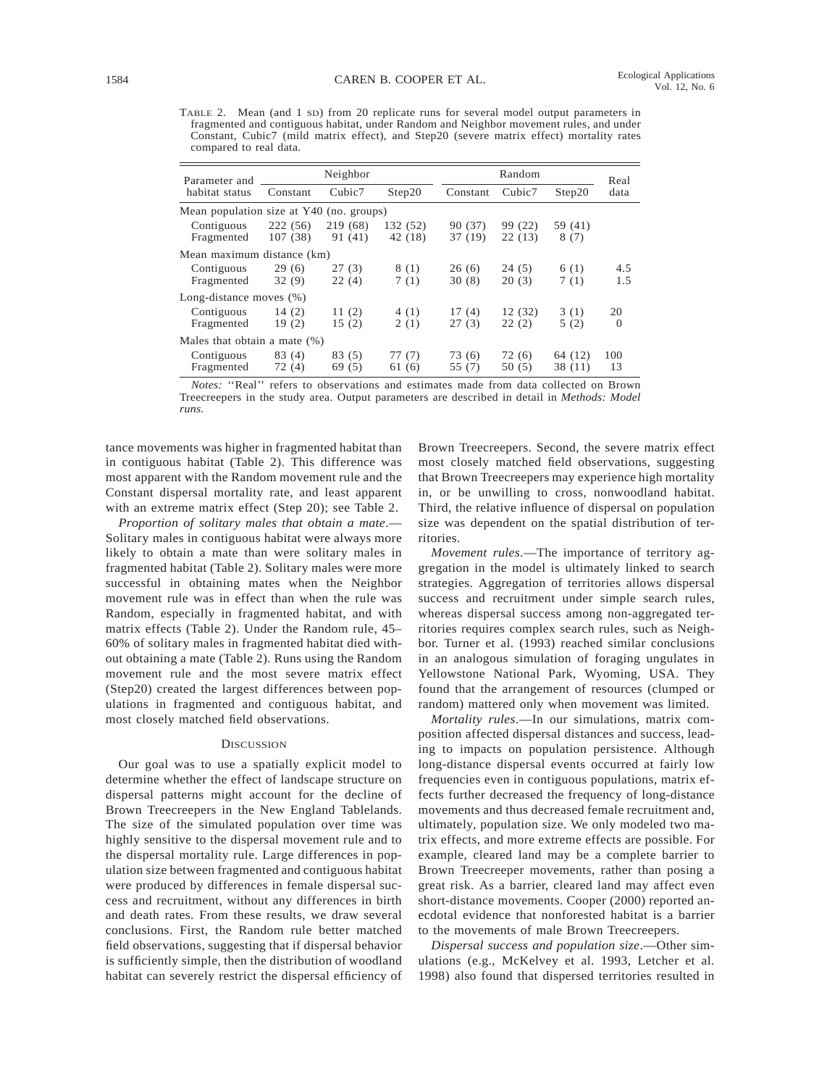TABLE 2. Mean (and 1 SD) from 20 replicate runs for several model output parameters in fragmented and contiguous habitat, under Random and Neighbor movement rules, and under Constant, Cubic7 (mild matrix effect), and Step20 (severe matrix effect) mortality rates compared to real data.

| Parameter and<br>habitat status          | Neighbor           |                     | Random              |                    |                   | Real               |                |  |  |
|------------------------------------------|--------------------|---------------------|---------------------|--------------------|-------------------|--------------------|----------------|--|--|
|                                          | Constant           | Cubic7              | Step 20             | Constant           | Cubic7            | Step 20            | data           |  |  |
| Mean population size at Y40 (no. groups) |                    |                     |                     |                    |                   |                    |                |  |  |
| Contiguous<br>Fragmented                 | 222(56)<br>107(38) | 219 (68)<br>91 (41) | 132 (52)<br>42 (18) | 90 (37)<br>37 (19) | 99 (22)<br>22(13) | 59 (41)<br>8(7)    |                |  |  |
| Mean maximum distance (km)               |                    |                     |                     |                    |                   |                    |                |  |  |
| Contiguous<br>Fragmented                 | 29(6)<br>32(9)     | 27(3)<br>22(4)      | 8(1)<br>7(1)        | 26(6)<br>30(8)     | 24(5)<br>20(3)    | 6(1)<br>7(1)       | 4.5<br>1.5     |  |  |
| Long-distance moves $(\%)$               |                    |                     |                     |                    |                   |                    |                |  |  |
| Contiguous<br>Fragmented                 | 14(2)<br>19(2)     | 11(2)<br>15(2)      | 4(1)<br>2(1)        | 17(4)<br>27(3)     | 12 (32)<br>22(2)  | 3(1)<br>5(2)       | 20<br>$\Omega$ |  |  |
| Males that obtain a mate $(\%)$          |                    |                     |                     |                    |                   |                    |                |  |  |
| Contiguous<br>Fragmented                 | 83 (4)<br>72(4)    | 83(5)<br>69(5)      | 77 (7)<br>61(6)     | 73 (6)<br>55 (7)   | 72(6)<br>50(5)    | 64 (12)<br>38 (11) | 100<br>13      |  |  |

*Notes:* ''Real'' refers to observations and estimates made from data collected on Brown Treecreepers in the study area. Output parameters are described in detail in *Methods: Model runs*.

tance movements was higher in fragmented habitat than in contiguous habitat (Table 2). This difference was most apparent with the Random movement rule and the Constant dispersal mortality rate, and least apparent with an extreme matrix effect (Step 20); see Table 2.

*Proportion of solitary males that obtain a mate*.— Solitary males in contiguous habitat were always more likely to obtain a mate than were solitary males in fragmented habitat (Table 2). Solitary males were more successful in obtaining mates when the Neighbor movement rule was in effect than when the rule was Random, especially in fragmented habitat, and with matrix effects (Table 2). Under the Random rule, 45– 60% of solitary males in fragmented habitat died without obtaining a mate (Table 2). Runs using the Random movement rule and the most severe matrix effect (Step20) created the largest differences between populations in fragmented and contiguous habitat, and most closely matched field observations.

#### **DISCUSSION**

Our goal was to use a spatially explicit model to determine whether the effect of landscape structure on dispersal patterns might account for the decline of Brown Treecreepers in the New England Tablelands. The size of the simulated population over time was highly sensitive to the dispersal movement rule and to the dispersal mortality rule. Large differences in population size between fragmented and contiguous habitat were produced by differences in female dispersal success and recruitment, without any differences in birth and death rates. From these results, we draw several conclusions. First, the Random rule better matched field observations, suggesting that if dispersal behavior is sufficiently simple, then the distribution of woodland habitat can severely restrict the dispersal efficiency of Brown Treecreepers. Second, the severe matrix effect most closely matched field observations, suggesting that Brown Treecreepers may experience high mortality in, or be unwilling to cross, nonwoodland habitat. Third, the relative influence of dispersal on population size was dependent on the spatial distribution of territories.

*Movement rules*.—The importance of territory aggregation in the model is ultimately linked to search strategies. Aggregation of territories allows dispersal success and recruitment under simple search rules, whereas dispersal success among non-aggregated territories requires complex search rules, such as Neighbor. Turner et al. (1993) reached similar conclusions in an analogous simulation of foraging ungulates in Yellowstone National Park, Wyoming, USA. They found that the arrangement of resources (clumped or random) mattered only when movement was limited.

*Mortality rules*.—In our simulations, matrix composition affected dispersal distances and success, leading to impacts on population persistence. Although long-distance dispersal events occurred at fairly low frequencies even in contiguous populations, matrix effects further decreased the frequency of long-distance movements and thus decreased female recruitment and, ultimately, population size. We only modeled two matrix effects, and more extreme effects are possible. For example, cleared land may be a complete barrier to Brown Treecreeper movements, rather than posing a great risk. As a barrier, cleared land may affect even short-distance movements. Cooper (2000) reported anecdotal evidence that nonforested habitat is a barrier to the movements of male Brown Treecreepers.

*Dispersal success and population size*.—Other simulations (e.g., McKelvey et al. 1993, Letcher et al. 1998) also found that dispersed territories resulted in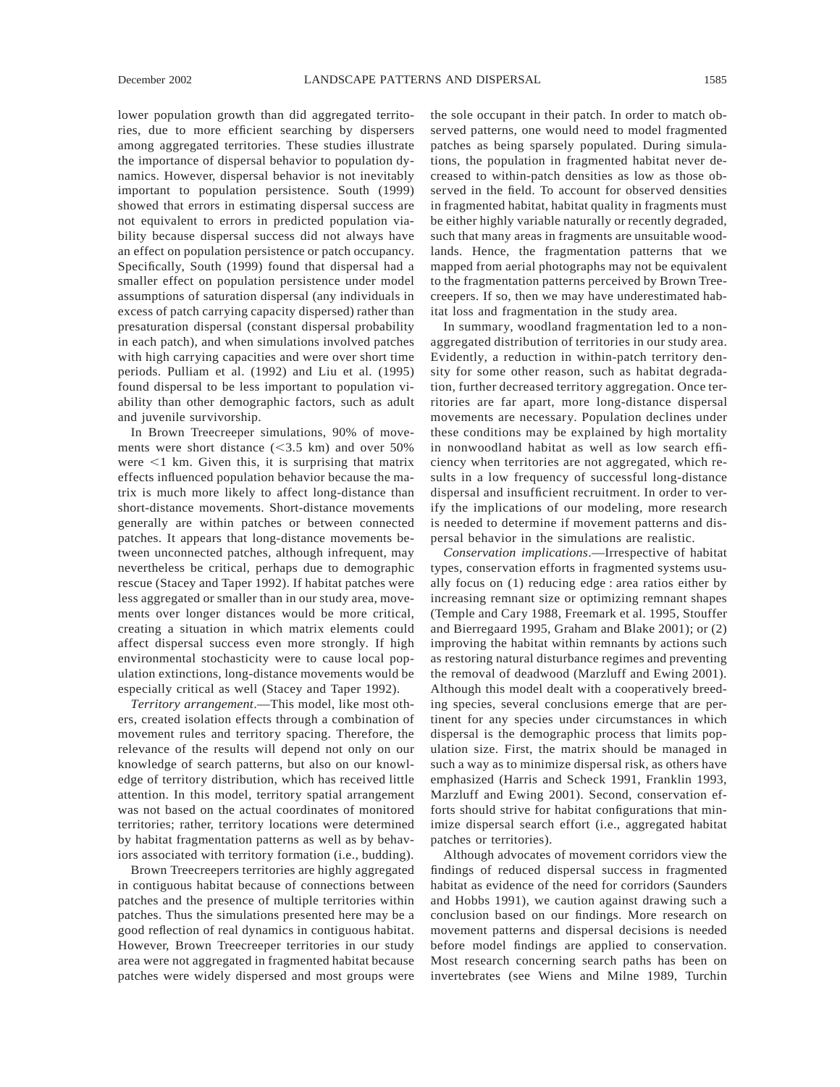lower population growth than did aggregated territories, due to more efficient searching by dispersers among aggregated territories. These studies illustrate the importance of dispersal behavior to population dynamics. However, dispersal behavior is not inevitably important to population persistence. South (1999) showed that errors in estimating dispersal success are not equivalent to errors in predicted population viability because dispersal success did not always have an effect on population persistence or patch occupancy. Specifically, South (1999) found that dispersal had a smaller effect on population persistence under model assumptions of saturation dispersal (any individuals in excess of patch carrying capacity dispersed) rather than presaturation dispersal (constant dispersal probability in each patch), and when simulations involved patches with high carrying capacities and were over short time periods. Pulliam et al. (1992) and Liu et al. (1995) found dispersal to be less important to population viability than other demographic factors, such as adult and juvenile survivorship.

In Brown Treecreeper simulations, 90% of movements were short distance  $(<3.5$  km) and over 50% were  $\leq 1$  km. Given this, it is surprising that matrix effects influenced population behavior because the matrix is much more likely to affect long-distance than short-distance movements. Short-distance movements generally are within patches or between connected patches. It appears that long-distance movements between unconnected patches, although infrequent, may nevertheless be critical, perhaps due to demographic rescue (Stacey and Taper 1992). If habitat patches were less aggregated or smaller than in our study area, movements over longer distances would be more critical, creating a situation in which matrix elements could affect dispersal success even more strongly. If high environmental stochasticity were to cause local population extinctions, long-distance movements would be especially critical as well (Stacey and Taper 1992).

*Territory arrangement*.—This model, like most others, created isolation effects through a combination of movement rules and territory spacing. Therefore, the relevance of the results will depend not only on our knowledge of search patterns, but also on our knowledge of territory distribution, which has received little attention. In this model, territory spatial arrangement was not based on the actual coordinates of monitored territories; rather, territory locations were determined by habitat fragmentation patterns as well as by behaviors associated with territory formation (i.e., budding).

Brown Treecreepers territories are highly aggregated in contiguous habitat because of connections between patches and the presence of multiple territories within patches. Thus the simulations presented here may be a good reflection of real dynamics in contiguous habitat. However, Brown Treecreeper territories in our study area were not aggregated in fragmented habitat because patches were widely dispersed and most groups were the sole occupant in their patch. In order to match observed patterns, one would need to model fragmented patches as being sparsely populated. During simulations, the population in fragmented habitat never decreased to within-patch densities as low as those observed in the field. To account for observed densities in fragmented habitat, habitat quality in fragments must be either highly variable naturally or recently degraded, such that many areas in fragments are unsuitable woodlands. Hence, the fragmentation patterns that we mapped from aerial photographs may not be equivalent to the fragmentation patterns perceived by Brown Treecreepers. If so, then we may have underestimated habitat loss and fragmentation in the study area.

In summary, woodland fragmentation led to a nonaggregated distribution of territories in our study area. Evidently, a reduction in within-patch territory density for some other reason, such as habitat degradation, further decreased territory aggregation. Once territories are far apart, more long-distance dispersal movements are necessary. Population declines under these conditions may be explained by high mortality in nonwoodland habitat as well as low search efficiency when territories are not aggregated, which results in a low frequency of successful long-distance dispersal and insufficient recruitment. In order to verify the implications of our modeling, more research is needed to determine if movement patterns and dispersal behavior in the simulations are realistic.

*Conservation implications*.—Irrespective of habitat types, conservation efforts in fragmented systems usually focus on (1) reducing edge : area ratios either by increasing remnant size or optimizing remnant shapes (Temple and Cary 1988, Freemark et al. 1995, Stouffer and Bierregaard 1995, Graham and Blake 2001); or (2) improving the habitat within remnants by actions such as restoring natural disturbance regimes and preventing the removal of deadwood (Marzluff and Ewing 2001). Although this model dealt with a cooperatively breeding species, several conclusions emerge that are pertinent for any species under circumstances in which dispersal is the demographic process that limits population size. First, the matrix should be managed in such a way as to minimize dispersal risk, as others have emphasized (Harris and Scheck 1991, Franklin 1993, Marzluff and Ewing 2001). Second, conservation efforts should strive for habitat configurations that minimize dispersal search effort (i.e., aggregated habitat patches or territories).

Although advocates of movement corridors view the findings of reduced dispersal success in fragmented habitat as evidence of the need for corridors (Saunders and Hobbs 1991), we caution against drawing such a conclusion based on our findings. More research on movement patterns and dispersal decisions is needed before model findings are applied to conservation. Most research concerning search paths has been on invertebrates (see Wiens and Milne 1989, Turchin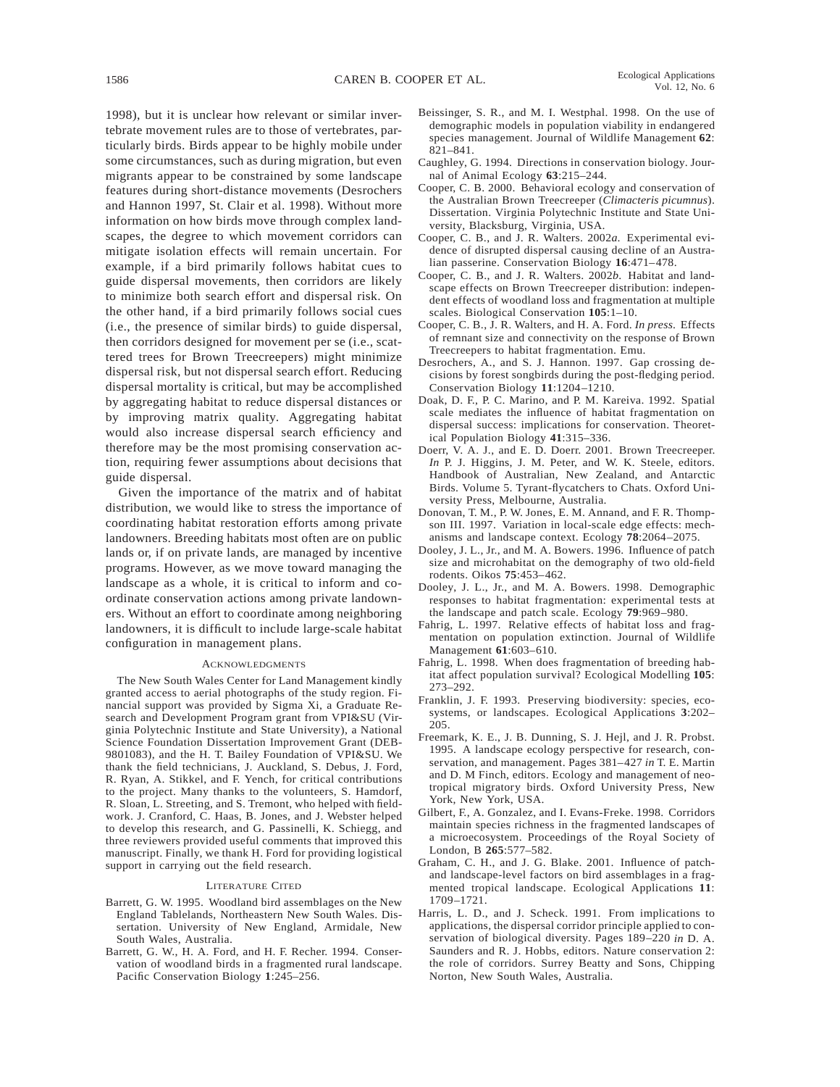1998), but it is unclear how relevant or similar invertebrate movement rules are to those of vertebrates, particularly birds. Birds appear to be highly mobile under some circumstances, such as during migration, but even migrants appear to be constrained by some landscape features during short-distance movements (Desrochers and Hannon 1997, St. Clair et al. 1998). Without more information on how birds move through complex landscapes, the degree to which movement corridors can mitigate isolation effects will remain uncertain. For example, if a bird primarily follows habitat cues to guide dispersal movements, then corridors are likely to minimize both search effort and dispersal risk. On the other hand, if a bird primarily follows social cues (i.e., the presence of similar birds) to guide dispersal, then corridors designed for movement per se (i.e., scattered trees for Brown Treecreepers) might minimize dispersal risk, but not dispersal search effort. Reducing dispersal mortality is critical, but may be accomplished by aggregating habitat to reduce dispersal distances or by improving matrix quality. Aggregating habitat would also increase dispersal search efficiency and therefore may be the most promising conservation action, requiring fewer assumptions about decisions that guide dispersal.

Given the importance of the matrix and of habitat distribution, we would like to stress the importance of coordinating habitat restoration efforts among private landowners. Breeding habitats most often are on public lands or, if on private lands, are managed by incentive programs. However, as we move toward managing the landscape as a whole, it is critical to inform and coordinate conservation actions among private landowners. Without an effort to coordinate among neighboring landowners, it is difficult to include large-scale habitat configuration in management plans.

#### **ACKNOWLEDGMENTS**

The New South Wales Center for Land Management kindly granted access to aerial photographs of the study region. Financial support was provided by Sigma Xi, a Graduate Research and Development Program grant from VPI&SU (Virginia Polytechnic Institute and State University), a National Science Foundation Dissertation Improvement Grant (DEB-9801083), and the H. T. Bailey Foundation of VPI&SU. We thank the field technicians, J. Auckland, S. Debus, J. Ford, R. Ryan, A. Stikkel, and F. Yench, for critical contributions to the project. Many thanks to the volunteers, S. Hamdorf, R. Sloan, L. Streeting, and S. Tremont, who helped with fieldwork. J. Cranford, C. Haas, B. Jones, and J. Webster helped to develop this research, and G. Passinelli, K. Schiegg, and three reviewers provided useful comments that improved this manuscript. Finally, we thank H. Ford for providing logistical support in carrying out the field research.

#### LITERATURE CITED

- Barrett, G. W. 1995. Woodland bird assemblages on the New England Tablelands, Northeastern New South Wales. Dissertation. University of New England, Armidale, New South Wales, Australia.
- Barrett, G. W., H. A. Ford, and H. F. Recher. 1994. Conservation of woodland birds in a fragmented rural landscape. Pacific Conservation Biology **1**:245–256.
- Beissinger, S. R., and M. I. Westphal. 1998. On the use of demographic models in population viability in endangered species management. Journal of Wildlife Management **62**: 821–841.
- Caughley, G. 1994. Directions in conservation biology. Journal of Animal Ecology **63**:215–244.
- Cooper, C. B. 2000. Behavioral ecology and conservation of the Australian Brown Treecreeper (*Climacteris picumnus*). Dissertation. Virginia Polytechnic Institute and State University, Blacksburg, Virginia, USA.
- Cooper, C. B., and J. R. Walters. 2002*a*. Experimental evidence of disrupted dispersal causing decline of an Australian passerine. Conservation Biology **16**:471–478.
- Cooper, C. B., and J. R. Walters. 2002*b*. Habitat and landscape effects on Brown Treecreeper distribution: independent effects of woodland loss and fragmentation at multiple scales. Biological Conservation **105**:1–10.
- Cooper, C. B., J. R. Walters, and H. A. Ford. *In press*. Effects of remnant size and connectivity on the response of Brown Treecreepers to habitat fragmentation. Emu.
- Desrochers, A., and S. J. Hannon. 1997. Gap crossing decisions by forest songbirds during the post-fledging period. Conservation Biology **11**:1204–1210.
- Doak, D. F., P. C. Marino, and P. M. Kareiva. 1992. Spatial scale mediates the influence of habitat fragmentation on dispersal success: implications for conservation. Theoretical Population Biology **41**:315–336.
- Doerr, V. A. J., and E. D. Doerr. 2001. Brown Treecreeper. *In* P. J. Higgins, J. M. Peter, and W. K. Steele, editors. Handbook of Australian, New Zealand, and Antarctic Birds. Volume 5. Tyrant-flycatchers to Chats. Oxford University Press, Melbourne, Australia.
- Donovan, T. M., P. W. Jones, E. M. Annand, and F. R. Thompson III. 1997. Variation in local-scale edge effects: mechanisms and landscape context. Ecology **78**:2064–2075.
- Dooley, J. L., Jr., and M. A. Bowers. 1996. Influence of patch size and microhabitat on the demography of two old-field rodents. Oikos **75**:453–462.
- Dooley, J. L., Jr., and M. A. Bowers. 1998. Demographic responses to habitat fragmentation: experimental tests at the landscape and patch scale. Ecology **79**:969–980.
- Fahrig, L. 1997. Relative effects of habitat loss and fragmentation on population extinction. Journal of Wildlife Management **61**:603–610.
- Fahrig, L. 1998. When does fragmentation of breeding habitat affect population survival? Ecological Modelling **105**: 273–292.
- Franklin, J. F. 1993. Preserving biodiversity: species, ecosystems, or landscapes. Ecological Applications **3**:202– 205.
- Freemark, K. E., J. B. Dunning, S. J. Hejl, and J. R. Probst. 1995. A landscape ecology perspective for research, conservation, and management. Pages 381–427 *in* T. E. Martin and D. M Finch, editors. Ecology and management of neotropical migratory birds. Oxford University Press, New York, New York, USA.
- Gilbert, F., A. Gonzalez, and I. Evans-Freke. 1998. Corridors maintain species richness in the fragmented landscapes of a microecosystem. Proceedings of the Royal Society of London, B **265**:577–582.
- Graham, C. H., and J. G. Blake. 2001. Influence of patchand landscape-level factors on bird assemblages in a fragmented tropical landscape. Ecological Applications **11**: 1709–1721.
- Harris, L. D., and J. Scheck. 1991. From implications to applications, the dispersal corridor principle applied to conservation of biological diversity. Pages 189–220 *in* D. A. Saunders and R. J. Hobbs, editors. Nature conservation 2: the role of corridors. Surrey Beatty and Sons, Chipping Norton, New South Wales, Australia.